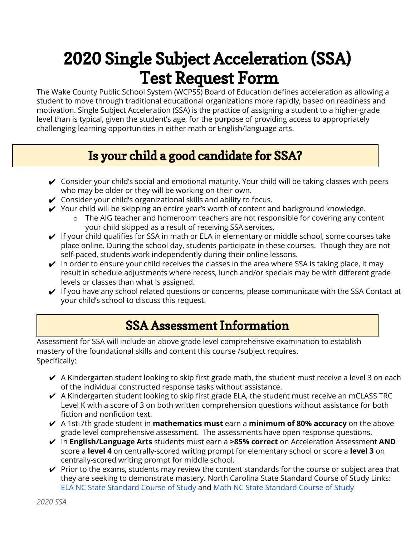# 2020 Single Subject Acceleration (SSA) Test Request Form

The Wake County Public School System (WCPSS) Board of Education defines acceleration as allowing a student to move through traditional educational organizations more rapidly, based on readiness and motivation. Single Subject Acceleration (SSA) is the practice of assigning a student to a higher-grade level than is typical, given the student's age, for the purpose of providing access to appropriately challenging learning opportunities in either math or English/language arts.

# Is your child a good candidate for SSA?

- $\checkmark$  Consider your child's social and emotional maturity. Your child will be taking classes with peers who may be older or they will be working on their own.
- $\checkmark$  Consider your child's organizational skills and ability to focus.
- $\checkmark$  Your child will be skipping an entire year's worth of content and background knowledge.
	- o The AIG teacher and homeroom teachers are not responsible for covering any content your child skipped as a result of receiving SSA services.
- $\vee$  If your child qualifies for SSA in math or ELA in elementary or middle school, some courses take place online. During the school day, students participate in these courses. Though they are not self-paced, students work independently during their online lessons.
- $\vee$  In order to ensure your child receives the classes in the area where SSA is taking place, it may result in schedule adjustments where recess, lunch and/or specials may be with different grade levels or classes than what is assigned.
- $\checkmark$  If you have any school related questions or concerns, please communicate with the SSA Contact at your child's school to discuss this request.

## SSA Assessment Information

Assessment for SSA will include an above grade level comprehensive examination to establish mastery of the foundational skills and content this course /subject requires. Specifically:

- $\vee$  A Kindergarten student looking to skip first grade math, the student must receive a level 3 on each of the individual constructed response tasks without assistance.
- $\blacktriangleright$  A Kindergarten student looking to skip first grade ELA, the student must receive an mCLASS TRC Level K with a score of 3 on both written comprehension questions without assistance for both fiction and nonfiction text.
- ✔ A 1st-7th grade student in **mathematics must** earn a **minimum of 80% accuracy** on the above grade level comprehensive assessment. The assessments have open response questions.
- ✔ In **English/Language Arts** students must earn a **>85% correct** on Acceleration Assessment **AND** score a **level 4** on centrally-scored writing prompt for elementary school or score a **level 3** on centrally-scored writing prompt for middle school.
- $\checkmark$  Prior to the exams, students may review the content standards for the course or subject area that they are seeking to demonstrate mastery. North Carolina State Standard Course of Study Links: ELA NC State [Standard](https://www.dpi.nc.gov/teach-nc/curriculum-instruction/standard-course-study/english-language-arts) Course of Study and Math NC State [Standard](https://www.dpi.nc.gov/teach-nc/curriculum-instruction/standard-course-study/mathematics) Course of Study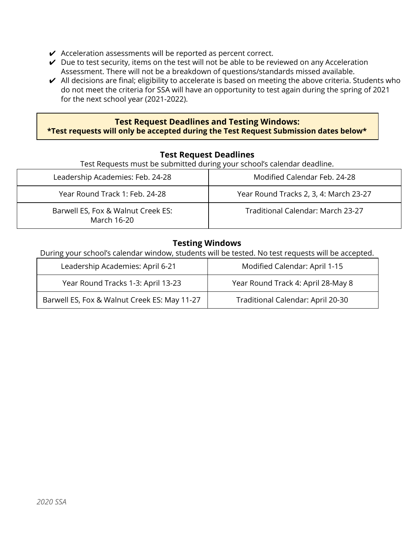- $\vee$  Acceleration assessments will be reported as percent correct.
- $\vee$  Due to test security, items on the test will not be able to be reviewed on any Acceleration Assessment. There will not be a breakdown of questions/standards missed available.
- $\vee$  All decisions are final; eligibility to accelerate is based on meeting the above criteria. Students who do not meet the criteria for SSA will have an opportunity to test again during the spring of 2021 for the next school year (2021-2022).

#### **Test Request Deadlines and Testing Windows: \*Test requests will only be accepted during the Test Request Submission dates below\***

#### **Test Request Deadlines**

Test Requests must be submitted during your school's calendar deadline.

| Leadership Academies: Feb. 24-28                  | Modified Calendar Feb. 24-28           |
|---------------------------------------------------|----------------------------------------|
| Year Round Track 1: Feb. 24-28                    | Year Round Tracks 2, 3, 4: March 23-27 |
| Barwell ES, Fox & Walnut Creek ES:<br>March 16-20 | Traditional Calendar: March 23-27      |

#### **Testing Windows**

During your school's calendar window, students will be tested. No test requests will be accepted.

| Leadership Academies: April 6-21             | Modified Calendar: April 1-15      |
|----------------------------------------------|------------------------------------|
| Year Round Tracks 1-3: April 13-23           | Year Round Track 4: April 28-May 8 |
| Barwell ES, Fox & Walnut Creek ES: May 11-27 | Traditional Calendar: April 20-30  |